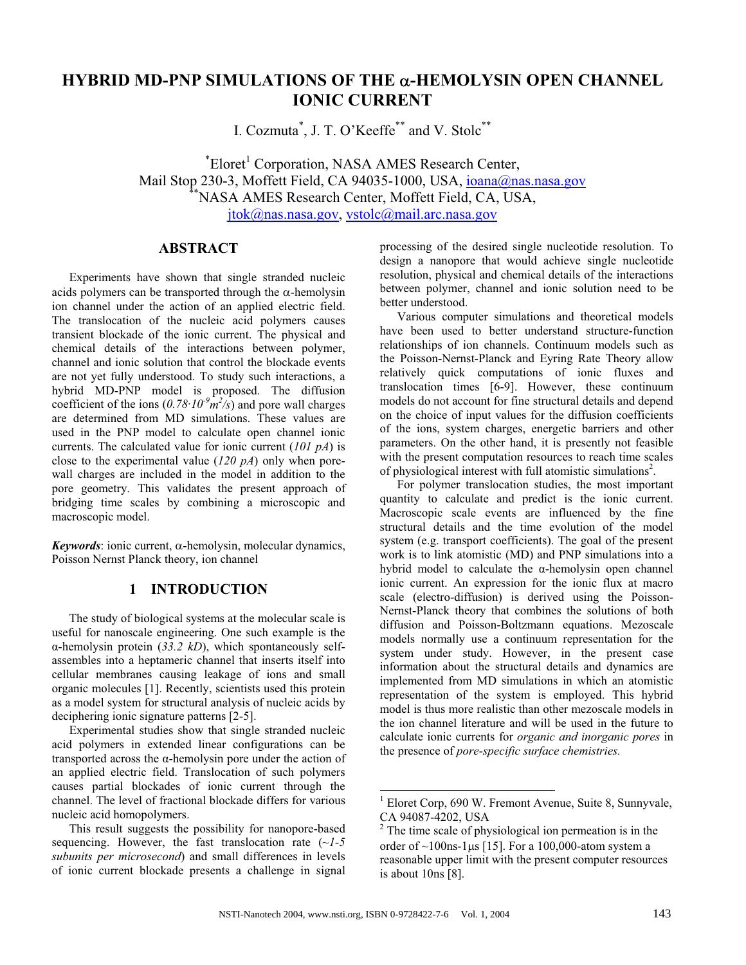# **HYBRID MD-PNP SIMULATIONS OF THE**  $\alpha$ **-HEMOLYSIN OPEN CHANNEL IONIC CURRENT**

I. Cozmuta<sup>\*</sup>, J. T. O'Keeffe<sup>\*\*</sup> and V. Stolc<sup>\*\*</sup>

\*Eloret<sup>1</sup> Corporation, NASA AMES Research Center, Mail Stop 230-3, Moffett Field, CA 94035-1000, USA, *ioana@nas.nasa.gov*<br>
\*\*NASA AMES Research Center, Moffett Field, CA, USA, jtok@nas.nasa.gov, vstolc@mail.arc.nasa.gov

## **ABSTRACT**

Experiments have shown that single stranded nucleic acids polymers can be transported through the  $\alpha$ -hemolysin ion channel under the action of an applied electric field. The translocation of the nucleic acid polymers causes transient blockade of the ionic current. The physical and chemical details of the interactions between polymer, channel and ionic solution that control the blockade events are not yet fully understood. To study such interactions, a hybrid MD-PNP model is proposed. The diffusion coefficient of the ions  $(0.78 \cdot 10^{-9} \frac{m^2}{s})$  and pore wall charges are determined from MD simulations. These values are used in the PNP model to calculate open channel ionic currents. The calculated value for ionic current (*101 pA*) is close to the experimental value (*120 pA*) only when porewall charges are included in the model in addition to the pore geometry. This validates the present approach of bridging time scales by combining a microscopic and macroscopic model.

*Keywords*: ionic current,  $\alpha$ -hemolysin, molecular dynamics, Poisson Nernst Planck theory, ion channel

## **1 INTRODUCTION**

The study of biological systems at the molecular scale is useful for nanoscale engineering. One such example is the  $\alpha$ -hemolysin protein (33.2 kD), which spontaneously selfassembles into a heptameric channel that inserts itself into cellular membranes causing leakage of ions and small organic molecules [1]. Recently, scientists used this protein as a model system for structural analysis of nucleic acids by deciphering ionic signature patterns [2-5].

Experimental studies show that single stranded nucleic acid polymers in extended linear configurations can be transported across the  $\alpha$ -hemolysin pore under the action of an applied electric field. Translocation of such polymers causes partial blockades of ionic current through the channel. The level of fractional blockade differs for various nucleic acid homopolymers.

This result suggests the possibility for nanopore-based sequencing. However, the fast translocation rate (*~1-5 subunits per microsecond*) and small differences in levels of ionic current blockade presents a challenge in signal processing of the desired single nucleotide resolution. To design a nanopore that would achieve single nucleotide resolution, physical and chemical details of the interactions between polymer, channel and ionic solution need to be better understood.

Various computer simulations and theoretical models have been used to better understand structure-function relationships of ion channels. Continuum models such as the Poisson-Nernst-Planck and Eyring Rate Theory allow relatively quick computations of ionic fluxes and translocation times [6-9]. However, these continuum models do not account for fine structural details and depend on the choice of input values for the diffusion coefficients of the ions, system charges, energetic barriers and other parameters. On the other hand, it is presently not feasible with the present computation resources to reach time scales of physiological interest with full atomistic simulations<sup>2</sup>.

For polymer translocation studies, the most important quantity to calculate and predict is the ionic current. Macroscopic scale events are influenced by the fine structural details and the time evolution of the model system (e.g. transport coefficients). The goal of the present work is to link atomistic (MD) and PNP simulations into a hybrid model to calculate the  $\alpha$ -hemolysin open channel ionic current. An expression for the ionic flux at macro scale (electro-diffusion) is derived using the Poisson-Nernst-Planck theory that combines the solutions of both diffusion and Poisson-Boltzmann equations. Mezoscale models normally use a continuum representation for the system under study. However, in the present case information about the structural details and dynamics are implemented from MD simulations in which an atomistic representation of the system is employed. This hybrid model is thus more realistic than other mezoscale models in the ion channel literature and will be used in the future to calculate ionic currents for *organic and inorganic pores* in the presence of *pore-specific surface chemistries.* 

 1 Eloret Corp, 690 W. Fremont Avenue, Suite 8, Sunnyvale, CA 94087-4202, USA

<sup>&</sup>lt;sup>2</sup> The time scale of physiological ion permeation is in the order of  $\sim$ 100ns-1µs [15]. For a 100,000-atom system a reasonable upper limit with the present computer resources is about 10ns [8].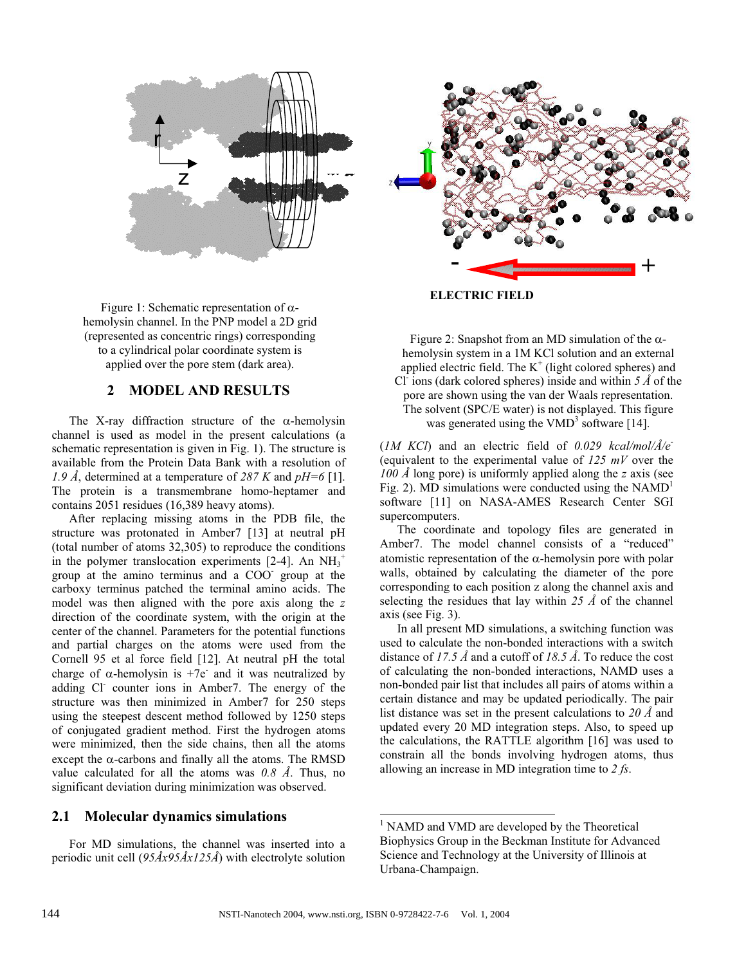

Figure 1: Schematic representation of  $\alpha$ hemolysin channel. In the PNP model a 2D grid (represented as concentric rings) corresponding to a cylindrical polar coordinate system is applied over the pore stem (dark area).

#### **2 MODEL AND RESULTS**

The X-ray diffraction structure of the  $\alpha$ -hemolysin channel is used as model in the present calculations (a schematic representation is given in Fig. 1). The structure is available from the Protein Data Bank with a resolution of *1.9 Å*, determined at a temperature of *287 K* and *pH=6* [1]. The protein is a transmembrane homo-heptamer and contains 2051 residues (16,389 heavy atoms).

After replacing missing atoms in the PDB file, the structure was protonated in Amber7 [13] at neutral pH (total number of atoms 32,305) to reproduce the conditions in the polymer translocation experiments  $[2-4]$ . An NH<sub>3</sub><sup>+</sup> group at the amino terminus and a COO- group at the carboxy terminus patched the terminal amino acids. The model was then aligned with the pore axis along the *z* direction of the coordinate system, with the origin at the center of the channel. Parameters for the potential functions and partial charges on the atoms were used from the Cornell 95 et al force field [12]. At neutral pH the total charge of  $\alpha$ -hemolysin is +7e<sup>-</sup> and it was neutralized by adding Cl<sup>-</sup> counter ions in Amber7. The energy of the structure was then minimized in Amber7 for 250 steps using the steepest descent method followed by 1250 steps of conjugated gradient method. First the hydrogen atoms were minimized, then the side chains, then all the atoms except the  $\alpha$ -carbons and finally all the atoms. The RMSD value calculated for all the atoms was *0.8 Å*. Thus, no significant deviation during minimization was observed.

#### **2.1 Molecular dynamics simulations**

For MD simulations, the channel was inserted into a periodic unit cell (*95Åx95Åx125Å*) with electrolyte solution



**ELECTRIC FIELD** 

Figure 2: Snapshot from an MD simulation of the  $\alpha$ hemolysin system in a 1M KCl solution and an external applied electric field. The  $K^+$  (light colored spheres) and Cl- ions (dark colored spheres) inside and within *5 Å* of the pore are shown using the van der Waals representation. The solvent (SPC/E water) is not displayed. This figure was generated using the  $VMD<sup>3</sup>$  software [14].

(*1M KCl*) and an electric field of *0.029 kcal/mol/Å/e-* (equivalent to the experimental value of *125 mV* over the *100 Å* long pore) is uniformly applied along the *z* axis (see Fig. 2). MD simulations were conducted using the  $NAMD<sup>1</sup>$ software [11] on NASA-AMES Research Center SGI supercomputers.

The coordinate and topology files are generated in Amber7. The model channel consists of a "reduced" atomistic representation of the  $\alpha$ -hemolysin pore with polar walls, obtained by calculating the diameter of the pore corresponding to each position z along the channel axis and selecting the residues that lay within *25 Å* of the channel axis (see Fig. 3).

In all present MD simulations, a switching function was used to calculate the non-bonded interactions with a switch distance of *17.5 Å* and a cutoff of *18.5 Å*. To reduce the cost of calculating the non-bonded interactions, NAMD uses a non-bonded pair list that includes all pairs of atoms within a certain distance and may be updated periodically. The pair list distance was set in the present calculations to *20 Å* and updated every 20 MD integration steps. Also, to speed up the calculations, the RATTLE algorithm [16] was used to constrain all the bonds involving hydrogen atoms, thus allowing an increase in MD integration time to *2 fs*.

<sup>&</sup>lt;sup>1</sup> NAMD and VMD are developed by the Theoretical Biophysics Group in the Beckman Institute for Advanced Science and Technology at the University of Illinois at Urbana-Champaign.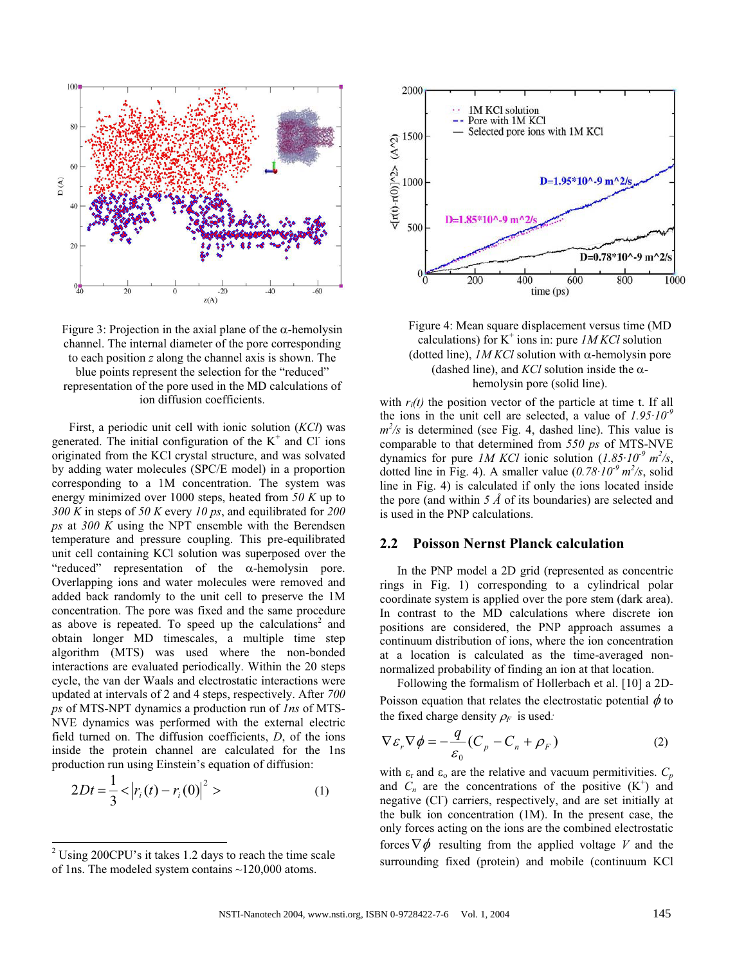



First, a periodic unit cell with ionic solution (*KCl*) was generated. The initial configuration of the  $K^+$  and Cl ions originated from the KCl crystal structure, and was solvated by adding water molecules (SPC/E model) in a proportion corresponding to a 1M concentration. The system was energy minimized over 1000 steps, heated from *50 K* up to *300 K* in steps of *50 K* every *10 ps*, and equilibrated for *200 ps* at *300 K* using the NPT ensemble with the Berendsen temperature and pressure coupling. This pre-equilibrated unit cell containing KCl solution was superposed over the "reduced" representation of the  $\alpha$ -hemolysin pore. Overlapping ions and water molecules were removed and added back randomly to the unit cell to preserve the 1M concentration. The pore was fixed and the same procedure as above is repeated. To speed up the calculations<sup>2</sup> and obtain longer MD timescales, a multiple time step algorithm (MTS) was used where the non-bonded interactions are evaluated periodically. Within the 20 steps cycle, the van der Waals and electrostatic interactions were updated at intervals of 2 and 4 steps, respectively. After *700 ps* of MTS-NPT dynamics a production run of *1ns* of MTS-NVE dynamics was performed with the external electric field turned on. The diffusion coefficients, *D*, of the ions inside the protein channel are calculated for the 1ns production run using Einstein's equation of diffusion:

$$
2Dt = \frac{1}{3} < |r_i(t) - r_i(0)|^2 >
$$
 (1)



Figure 4: Mean square displacement versus time (MD calculations) for K+ ions in: pure *1M KCl* solution (dotted line), *IM KCl* solution with  $\alpha$ -hemolysin pore (dashed line), and *KCl* solution inside the  $\alpha$ hemolysin pore (solid line).

with  $r_i(t)$  the position vector of the particle at time t. If all the ions in the unit cell are selected, a value of  $1.95 \cdot 10^{-9}$  $m^2$ /s is determined (see Fig. 4, dashed line). This value is comparable to that determined from *550 ps* of MTS-NVE dynamics for pure *1M KCl* ionic solution  $(1.85 \cdot 10^{-9} \text{ m}^2/\text{s})$ , dotted line in Fig. 4). A smaller value  $(0.78 \cdot 10^{-9} \text{ m}^2/\text{s}, \text{ solid})$ line in Fig. 4) is calculated if only the ions located inside the pore (and within *5 Å* of its boundaries) are selected and is used in the PNP calculations.

#### **2.2 Poisson Nernst Planck calculation**

In the PNP model a 2D grid (represented as concentric rings in Fig. 1) corresponding to a cylindrical polar coordinate system is applied over the pore stem (dark area). In contrast to the MD calculations where discrete ion positions are considered, the PNP approach assumes a continuum distribution of ions, where the ion concentration at a location is calculated as the time-averaged nonnormalized probability of finding an ion at that location.

Following the formalism of Hollerbach et al. [10] a 2D-Poisson equation that relates the electrostatic potential  $\phi$  to the fixed charge density  $\rho_F$  is used:

$$
\nabla \varepsilon_r \nabla \phi = -\frac{q}{\varepsilon_0} (C_p - C_n + \rho_F)
$$
 (2)

with  $\varepsilon_r$  and  $\varepsilon_o$  are the relative and vacuum permitivities.  $C_p$ and  $C_n$  are the concentrations of the positive  $(K^+)$  and negative (Cl- ) carriers, respectively, and are set initially at the bulk ion concentration (1M). In the present case, the only forces acting on the ions are the combined electrostatic forces  $\nabla \phi$  resulting from the applied voltage *V* and the surrounding fixed (protein) and mobile (continuum KCl

 $2^2$  Using 200CPU's it takes 1.2 days to reach the time scale of 1ns. The modeled system contains ~120,000 atoms.